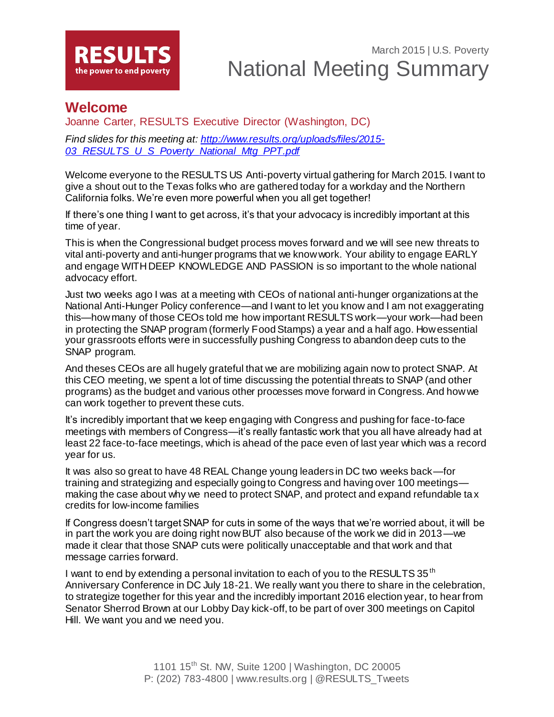

## **Welcome**

Joanne Carter, RESULTS Executive Director (Washington, DC)

*Find slides for this meeting at: [http://www.results.org/uploads/files/2015-](http://www.results.org/uploads/files/2015-03_RESULTS_U_S_Poverty_National_Mtg_PPT.pdf) [03\\_RESULTS\\_U\\_S\\_Poverty\\_National\\_Mtg\\_PPT.pdf](http://www.results.org/uploads/files/2015-03_RESULTS_U_S_Poverty_National_Mtg_PPT.pdf)*

Welcome everyone to the RESULTS US Anti-poverty virtual gathering for March 2015. I want to give a shout out to the Texas folks who are gathered today for a workday and the Northern California folks. We're even more powerful when you all get together!

If there's one thing I want to get across, it's that your advocacy is incredibly important at this time of year.

This is when the Congressional budget process moves forward and we will see new threats to vital anti-poverty and anti-hunger programs that we know work. Your ability to engage EARLY and engage WITH DEEP KNOWLEDGE AND PASSION is so important to the whole national advocacy effort.

Just two weeks ago I was at a meeting with CEOs of national anti-hunger organizations at the National Anti-Hunger Policy conference—and I want to let you know and I am not exaggerating this—how many of those CEOs told me how important RESULTS work—your work—had been in protecting the SNAP program (formerly Food Stamps) a year and a half ago. How essential your grassroots efforts were in successfully pushing Congress to abandon deep cuts to the SNAP program.

And theses CEOs are all hugely grateful that we are mobilizing again now to protect SNAP. At this CEO meeting, we spent a lot of time discussing the potential threats to SNAP (and other programs) as the budget and various other processes move forward in Congress. And how we can work together to prevent these cuts.

It's incredibly important that we keep engaging with Congress and pushing for face-to-face meetings with members of Congress—it's really fantastic work that you all have already had at least 22 face-to-face meetings, which is ahead of the pace even of last year which was a record year for us.

It was also so great to have 48 REAL Change young leaders in DC two weeks back—for training and strategizing and especially going to Congress and having over 100 meetings making the case about why we need to protect SNAP, and protect and expand refundable ta x credits for low-income families

If Congress doesn't target SNAP for cuts in some of the ways that we're worried about, it will be in part the work you are doing right now BUT also because of the work we did in 2013—we made it clear that those SNAP cuts were politically unacceptable and that work and that message carries forward.

I want to end by extending a personal invitation to each of you to the RESULTS 35<sup>th</sup> Anniversary Conference in DC July 18-21. We really want you there to share in the celebration, to strategize together for this year and the incredibly important 2016 election year, to hear from Senator Sherrod Brown at our Lobby Day kick-off, to be part of over 300 meetings on Capitol Hill. We want you and we need you.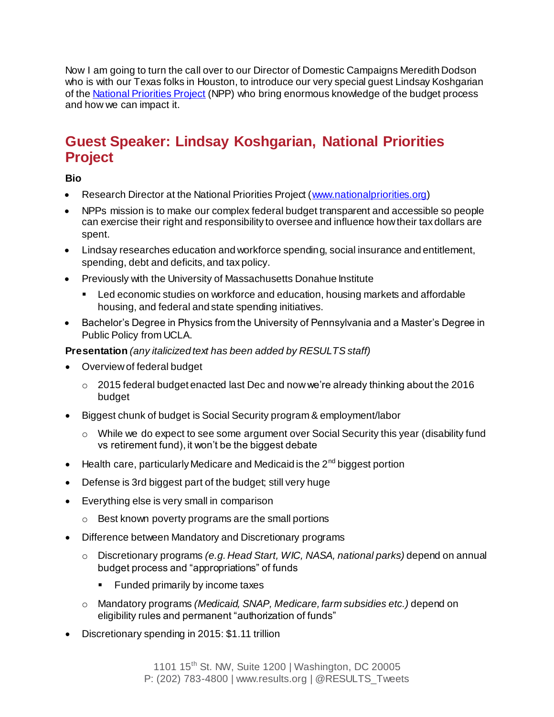Now I am going to turn the call over to our Director of Domestic Campaigns Meredith Dodson who is with our Texas folks in Houston, to introduce our very special guest Lindsay Koshgarian of the [National Priorities Project](http://www.nationalpriorities.org/) (NPP) who bring enormous knowledge of the budget process and how we can impact it.

## **Guest Speaker: Lindsay Koshgarian, National Priorities Project**

**Bio**

- Research Director at the National Priorities Project [\(www.nationalpriorities.org](http://www.nationalpriorities.org/))
- NPPs mission is to make our complex federal budget transparent and accessible so people can exercise their right and responsibility to oversee and influence how their tax dollars are spent.
- Lindsay researches education and workforce spending, social insurance and entitlement, spending, debt and deficits, and tax policy.
- Previously with the University of Massachusetts Donahue Institute
	- Led economic studies on workforce and education, housing markets and affordable housing, and federal and state spending initiatives.
- Bachelor's Degree in Physics from the University of Pennsylvania and a Master's Degree in Public Policy from UCLA.

### **Presentation** *(any italicized text has been added by RESULTS staff)*

- Overview of federal budget
	- $\degree$  2015 federal budget enacted last Dec and now we're already thinking about the 2016 budget
- Biggest chunk of budget is Social Security program & employment/labor
	- $\circ$  While we do expect to see some argument over Social Security this year (disability fund vs retirement fund), it won't be the biggest debate
- Health care, particularly Medicare and Medicaid is the  $2<sup>nd</sup>$  biggest portion
- Defense is 3rd biggest part of the budget; still very huge
- Everything else is very small in comparison
	- o Best known poverty programs are the small portions
- Difference between Mandatory and Discretionary programs
	- o Discretionary programs *(e.g. Head Start, WIC, NASA, national parks)* depend on annual budget process and "appropriations" of funds
		- **Funded primarily by income taxes**
	- o Mandatory programs *(Medicaid, SNAP, Medicare, farm subsidies etc.)* depend on eligibility rules and permanent "authorization of funds"
- Discretionary spending in 2015: \$1.11 trillion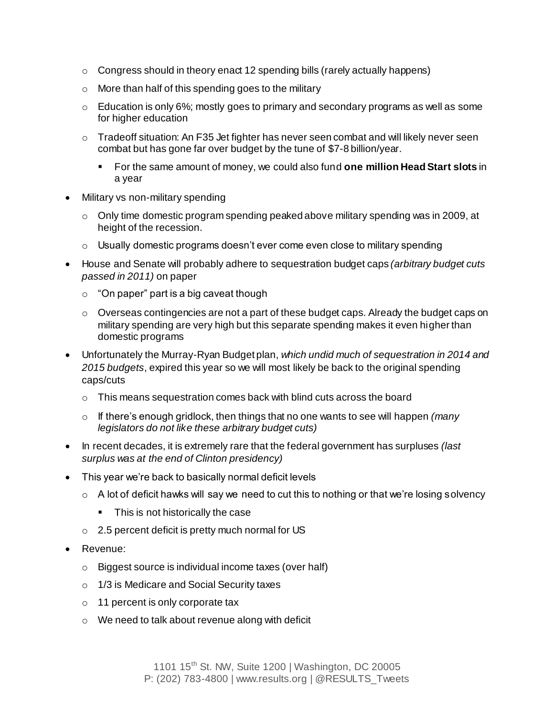- $\circ$  Congress should in theory enact 12 spending bills (rarely actually happens)
- o More than half of this spending goes to the military
- $\circ$  Education is only 6%; mostly goes to primary and secondary programs as well as some for higher education
- $\circ$  Tradeoff situation: An F35 Jet fighter has never seen combat and will likely never seen combat but has gone far over budget by the tune of \$7-8 billion/year.
	- For the same amount of money, we could also fund **one million Head Start slots** in a year
- Military vs non-military spending
	- $\circ$  Only time domestic program spending peaked above military spending was in 2009, at height of the recession.
	- $\circ$  Usually domestic programs doesn't ever come even close to military spending
- House and Senate will probably adhere to sequestration budget caps *(arbitrary budget cuts passed in 2011)* on paper
	- $\circ$  "On paper" part is a big caveat though
	- $\circ$  Overseas contingencies are not a part of these budget caps. Already the budget caps on military spending are very high but this separate spending makes it even higher than domestic programs
- Unfortunately the Murray-Ryan Budget plan, *which undid much of sequestration in 2014 and 2015 budgets*, expired this year so we will most likely be back to the original spending caps/cuts
	- $\circ$  This means sequestration comes back with blind cuts across the board
	- o If there's enough gridlock, then things that no one wants to see will happen *(many legislators do not like these arbitrary budget cuts)*
- In recent decades, it is extremely rare that the federal government has surpluses *(last surplus was at the end of Clinton presidency)*
- This year we're back to basically normal deficit levels
	- $\circ$  A lot of deficit hawks will say we need to cut this to nothing or that we're losing solvency
		- This is not historically the case
	- o 2.5 percent deficit is pretty much normal for US
- Revenue:
	- o Biggest source is individual income taxes (over half)
	- o 1/3 is Medicare and Social Security taxes
	- o 11 percent is only corporate tax
	- o We need to talk about revenue along with deficit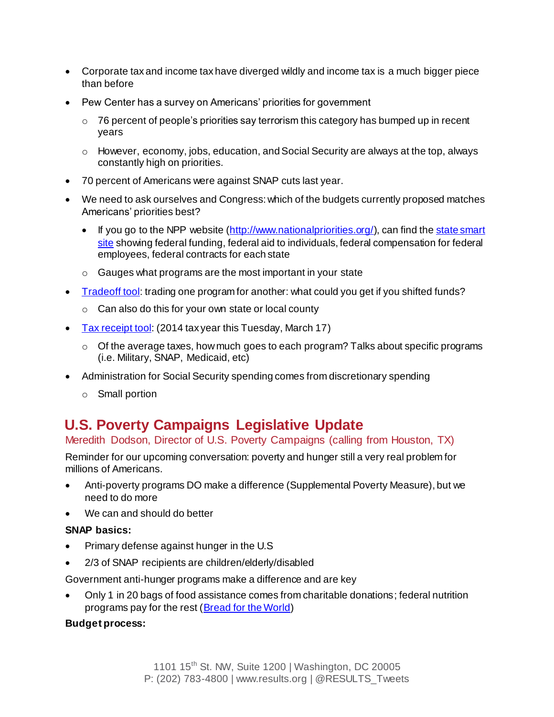- Corporate tax and income tax have diverged wildly and income tax is a much bigger piece than before
- Pew Center has a survey on Americans' priorities for government
	- $\circ$  76 percent of people's priorities say terrorism this category has bumped up in recent years
	- $\circ$  However, economy, jobs, education, and Social Security are always at the top, always constantly high on priorities.
- 70 percent of Americans were against SNAP cuts last year.
- We need to ask ourselves and Congress: which of the budgets currently proposed matches Americans' priorities best?
	- If you go to the NPP website [\(http://www.nationalpriorities.org/](http://www.nationalpriorities.org/)), can find the state smart [site](https://www.nationalpriorities.org/smart/) showing federal funding, federal aid to individuals, federal compensation for federal employees, federal contracts for each state
	- o Gauges what programs are the most important in your state
- [Tradeoff tool](https://www.nationalpriorities.org/interactive-data/trade-offs/): trading one program for another: what could you get if you shifted funds?
	- o Can also do this for your own state or local county
- [Tax receipt tool](https://www.nationalpriorities.org/interactive-data/taxday/): (2014 tax year this Tuesday, March 17)
	- $\circ$  Of the average taxes, how much goes to each program? Talks about specific programs (i.e. Military, SNAP, Medicaid, etc)
- Administration for Social Security spending comes from discretionary spending
	- o Small portion

# **U.S. Poverty Campaigns Legislative Update**

### Meredith Dodson, Director of U.S. Poverty Campaigns (calling from Houston, TX)

Reminder for our upcoming conversation: poverty and hunger still a very real problem for millions of Americans.

- Anti-poverty programs DO make a difference (Supplemental Poverty Measure), but we need to do more
- We can and should do better

#### **SNAP basics:**

- Primary defense against hunger in the U.S
- 2/3 of SNAP recipients are children/elderly/disabled

Government anti-hunger programs make a difference and are key

 Only 1 in 20 bags of food assistance comes from charitable donations; federal nutrition programs pay for the rest [\(Bread for the World](http://blog.bread.org/2014/10/americans-believe-government-can-do-more-to-combat-hunger.html))

#### **Budget process:**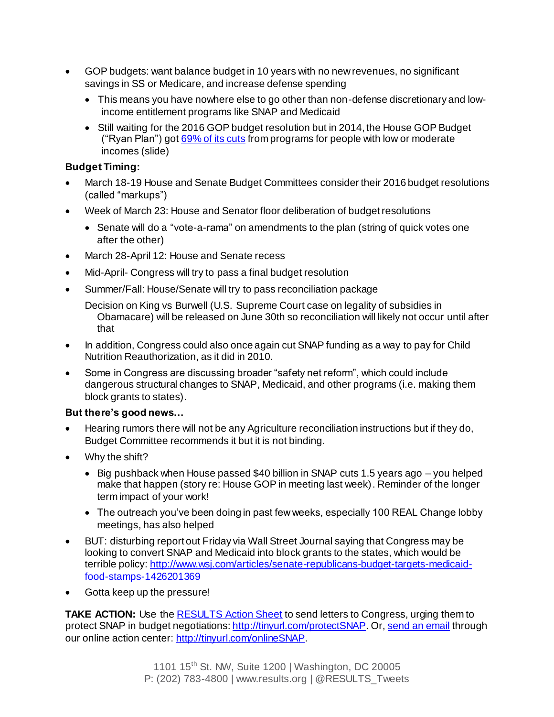- GOP budgets: want balance budget in 10 years with no new revenues, no significant savings in SS or Medicare, and increase defense spending
	- This means you have nowhere else to go other than non-defense discretionary and lowincome entitlement programs like SNAP and Medicaid
	- Still waiting for the 2016 GOP budget resolution but in 2014, the House GOP Budget ("Ryan Plan") got  $69\%$  of its cuts from programs for people with low or moderate incomes (slide)

#### **Budget Timing:**

- March 18-19 House and Senate Budget Committees consider their 2016 budget resolutions (called "markups")
- Week of March 23: House and Senator floor deliberation of budget resolutions
	- Senate will do a "vote-a-rama" on amendments to the plan (string of quick votes one after the other)
- March 28-April 12: House and Senate recess
- Mid-April- Congress will try to pass a final budget resolution
- Summer/Fall: House/Senate will try to pass reconciliation package

Decision on King vs Burwell (U.S. Supreme Court case on legality of subsidies in Obamacare) will be released on June 30th so reconciliation will likely not occur until after that

- In addition, Congress could also once again cut SNAP funding as a way to pay for Child Nutrition Reauthorization, as it did in 2010.
- Some in Congress are discussing broader "safety net reform", which could include dangerous structural changes to SNAP, Medicaid, and other programs (i.e. making them block grants to states).

#### **But there's good news…**

- Hearing rumors there will not be any Agriculture reconciliation instructions but if they do, Budget Committee recommends it but it is not binding.
- Why the shift?
	- Big pushback when House passed \$40 billion in SNAP cuts 1.5 years ago you helped make that happen (story re: House GOP in meeting last week). Reminder of the longer term impact of your work!
	- The outreach you've been doing in past few weeks, especially 100 REAL Change lobby meetings, has also helped
- BUT: disturbing report out Friday via Wall Street Journal saying that Congress may be looking to convert SNAP and Medicaid into block grants to the states, which would be terrible policy[: http://www.wsj.com/articles/senate-republicans-budget-targets-medicaid](http://www.wsj.com/articles/senate-republicans-budget-targets-medicaid-food-stamps-1426201369)[food-stamps-1426201369](http://www.wsj.com/articles/senate-republicans-budget-targets-medicaid-food-stamps-1426201369)
- Gotta keep up the pressure!

**TAKE ACTION:** Use the **RESULTS** Action Sheet to send letters to Congress, urging them to protect SNAP in budget negotiations[: http://tinyurl.com/protectSNAP.](http://tinyurl.com/protectSNAP) Or[, send an email](http://capwiz.com/results/issues/alert/?alertid=62580726) through our online action center[: http://tinyurl.com/onlineSNAP.](http://tinyurl.com/onlineSNAP)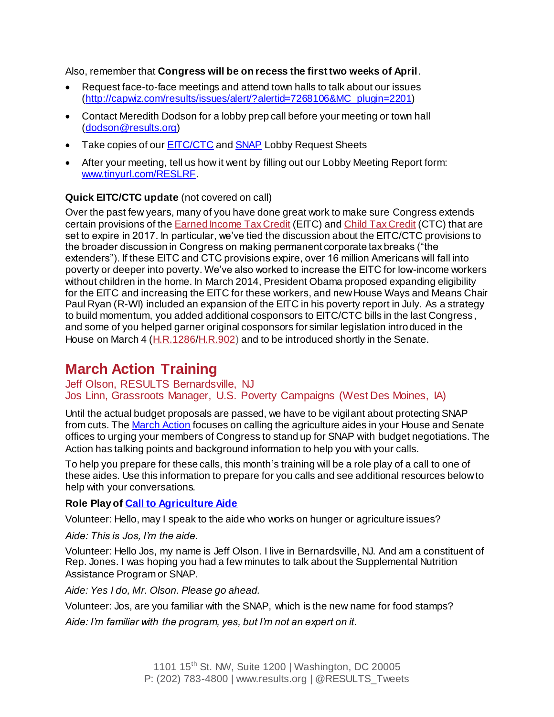Also, remember that **Congress will be on recess the first two weeks of April**.

- Request face-to-face meetings and attend town halls to talk about our issues [\(http://capwiz.com/results/issues/alert/?alertid=7268106&MC\\_plugin=2201](http://capwiz.com/results/issues/alert/?alertid=7268106&MC_plugin=2201))
- Contact Meredith Dodson for a lobby prep call before your meeting or town hall [\(dodson@results.org](mailto:dodson@results.org))
- Take copies of our **EITC/CTC** and **SNAP** Lobby Request Sheets
- After your meeting, tell us how it went by filling out our Lobby Meeting Report form: [www.tinyurl.com/RESLRF.](http://www.tinyurl.com/RESLRF)

#### **Quick EITC/CTC update** (not covered on call)

Over the past few years, many of you have done great work to make sure Congress extends certain provisions of the [Earned](http://www.results.org/issues/earned_income_tax_credit/) Income Tax Credit (EITC) and Child Tax [Credit](http://www.results.org/issues/child_tax_credit/) (CTC) that are set to expire in 2017. In particular, we've tied the discussion about the EITC/CTC provisions to the broader discussion in Congress on making permanent corporate tax breaks ("the extenders"). If these EITC and CTC provisions expire, over 16 million Americans will fall into poverty or deeper into poverty. We've also worked to increase the EITC for low-income workers without children in the home. In March 2014, President Obama proposed expanding eligibility for the EITC and increasing the EITC for these workers, and new House Ways and Means Chair Paul Ryan (R-WI) included an expansion of the EITC in his poverty report in July. As a strategy to build momentum, you added additional cosponsors to EITC/CTC bills in the last Congress, and some of you helped garner original cosponsors for similar legislation introduced in the House on March 4 [\(H.R.1286](http://capwiz.com/results/issues/bills/?bill=64205501)[/H.R.902\)](http://capwiz.com/results/issues/bills/?bill=64181791) and to be introduced shortly in the Senate.

## **March Action Training**

Jeff Olson, RESULTS Bernardsville, NJ Jos Linn, Grassroots Manager, U.S. Poverty Campaigns (West Des Moines, IA)

Until the actual budget proposals are passed, we have to be vigilant about protecting SNAP from cuts. Th[e March Action](http://www.results.org/take_action/march_2015_u.s._poverty_action/) focuses on calling the agriculture aides in your House and Senate offices to urging your members of Congress to stand up for SNAP with budget negotiations. The Action has talking points and background information to help you with your calls.

To help you prepare for these calls, this month's training will be a role play of a call to one of these aides. Use this information to prepare for you calls and see additional resources below to help with your conversations.

#### **Role Play of [Call to Agriculture Aide](http://www.results.org/take_action/u.s._poverty_laser_talk_talking_to_an_aide_about_protecting_snap/)**

Volunteer: Hello, may I speak to the aide who works on hunger or agriculture issues?

*Aide: This is Jos, I'm the aide.*

Volunteer: Hello Jos, my name is Jeff Olson. I live in Bernardsville, NJ. And am a constituent of Rep. Jones. I was hoping you had a few minutes to talk about the Supplemental Nutrition Assistance Program or SNAP.

*Aide: Yes I do, Mr. Olson. Please go ahead.*

Volunteer: Jos, are you familiar with the SNAP, which is the new name for food stamps?

*Aide: I'm familiar with the program, yes, but I'm not an expert on it.*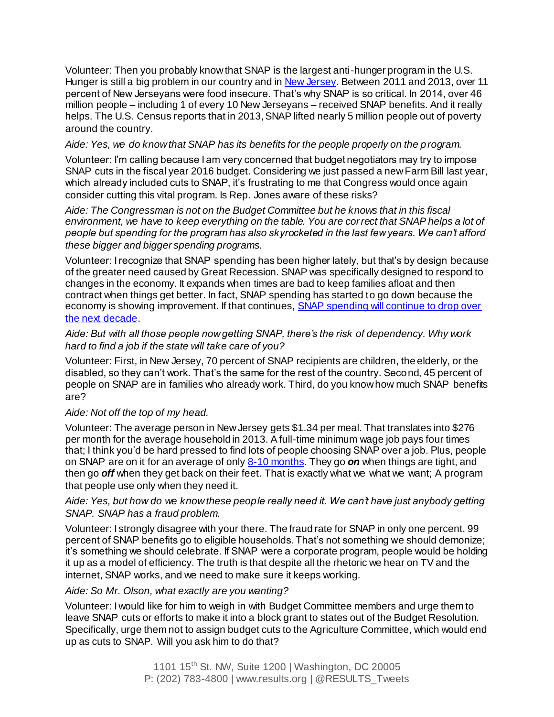Volunteer: Then you probably know that SNAP is the largest anti-hunger program in the U.S. Hunger is still a big problem in our country and i[n New Jersey.](http://www.cbpp.org/files/2-26-15fa/NJ.pdf) Between 2011 and 2013, over 11 percent of New Jerseyans were food insecure. That's why SNAP is so critical. In 2014, over 46 million people – including 1 of every 10 New Jerseyans – received SNAP benefits. And it really helps. The U.S. Census reports that in 2013, SNAP lifted nearly 5 million people out of poverty around the country.

#### *Aide: Yes, we do know that SNAP has its benefits for the people properly on the program.*

Volunteer: I'm calling because I am very concerned that budget negotiators may try to impose SNAP cuts in the fiscal year 2016 budget. Considering we just passed a new Farm Bill last year, which already included cuts to SNAP, it's frustrating to me that Congress would once again consider cutting this vital program. Is Rep. Jones aware of these risks?

*Aide: The Congressman is not on the Budget Committee but he knows that in this fiscal environment, we have to keep everything on the table. You are correct that SNAP helps a lot of people but spending for the program has also skyrocketed in the last few years. We can't afford these bigger and bigger spending programs.*

Volunteer: I recognize that SNAP spending has been higher lately, but that's by design because of the greater need caused by Great Recession. SNAP was specifically designed to respond to changes in the economy. It expands when times are bad to keep families afloat and then contract when things get better. In fact, SNAP spending has started to go down because the economy is showing improvement. If that continues, **SNAP** spending will continue to drop over [the next decade.](http://www.cbpp.org/cms/?fa=view&id=4054)

#### *Aide: But with all those people now getting SNAP, there's the risk of dependency. Why work hard to find a job if the state will take care of you?*

Volunteer: First, in New Jersey, 70 percent of SNAP recipients are children, the elderly, or the disabled, so they can't work. That's the same for the rest of the country. Second, 45 percent of people on SNAP are in families who already work. Third, do you know how much SNAP benefits are?

#### *Aide: Not off the top of my head.*

Volunteer: The average person in New Jersey gets \$1.34 per meal. That translates into \$276 per month for the average household in 2013. A full-time minimum wage job pays four times that; I think you'd be hard pressed to find lots of people choosing SNAP over a job. Plus, people on SNAP are on it for an average of onl[y 8-10 months](http://www.mannafoodbank.org/hunger-101/fns-facts-myths/). They go *on* when things are tight, and then go *off* when they get back on their feet. That is exactly what we what we want; A program that people use only when they need it.

#### *Aide: Yes, but how do we know these people really need it. We can't have just anybody getting SNAP. SNAP has a fraud problem.*

Volunteer: I strongly disagree with your there. The fraud rate for SNAP in only one percent. 99 percent of SNAP benefits go to eligible households. That's not something we should demonize; it's something we should celebrate. If SNAP were a corporate program, people would be holding it up as a model of efficiency. The truth is that despite all the rhetoric we hear on TV and the internet, SNAP works, and we need to make sure it keeps working.

#### *Aide: So Mr. Olson, what exactly are you wanting?*

Volunteer: I would like for him to weigh in with Budget Committee members and urge them to leave SNAP cuts or efforts to make it into a block grant to states out of the Budget Resolution. Specifically, urge them not to assign budget cuts to the Agriculture Committee, which would end up as cuts to SNAP. Will you ask him to do that?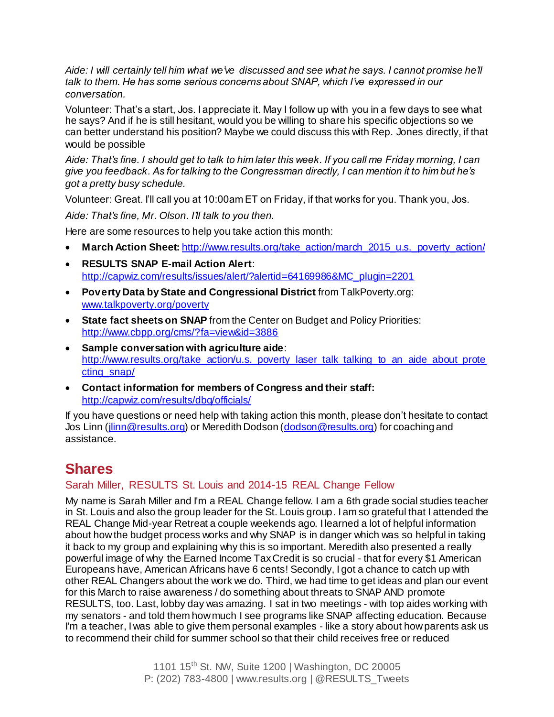*Aide: I will certainly tell him what we've discussed and see what he says. I cannot promise he'll talk to them. He has some serious concerns about SNAP, which I've expressed in our conversation.*

Volunteer: That's a start, Jos. I appreciate it. May I follow up with you in a few days to see what he says? And if he is still hesitant, would you be willing to share his specific objections so we can better understand his position? Maybe we could discuss this with Rep. Jones directly, if that would be possible

*Aide: That's fine. I should get to talk to him later this week. If you call me Friday morning, I can give you feedback. As for talking to the Congressman directly, I can mention it to him but he's got a pretty busy schedule.*

Volunteer: Great. I'll call you at 10:00am ET on Friday, if that works for you. Thank you, Jos.

*Aide: That's fine, Mr. Olson. I'll talk to you then.*

Here are some resources to help you take action this month:

- **March Action Sheet: [http://www.results.org/take\\_action/march\\_2015\\_u.s.\\_poverty\\_action/](http://www.results.org/take_action/march_2015_u.s._poverty_action/)**
- **RESULTS SNAP E-mail Action Alert**: [http://capwiz.com/results/issues/alert/?alertid=64169986&MC\\_plugin=2201](http://capwiz.com/results/issues/alert/?alertid=64169986&MC_plugin=2201)
- **Poverty Data by State and Congressional District** from TalkPoverty.org: [www.talkpoverty.org/poverty](http://www.talkpoverty.org/poverty)
- **State fact sheets on SNAP** from the Center on Budget and Policy Priorities: <http://www.cbpp.org/cms/?fa=view&id=3886>
- **Sample conversation with agriculture aide**: [http://www.results.org/take\\_action/u.s.\\_poverty\\_laser\\_talk\\_talking\\_to\\_an\\_aide\\_about\\_prote](http://www.results.org/take_action/u.s._poverty_laser_talk_talking_to_an_aide_about_protecting_snap/) [cting\\_snap/](http://www.results.org/take_action/u.s._poverty_laser_talk_talking_to_an_aide_about_protecting_snap/)
- **Contact information for members of Congress and their staff:** <http://capwiz.com/results/dbq/officials/>

If you have questions or need help with taking action this month, please don't hesitate to contact Jos Linn [\(jlinn@results.org](mailto:jlinn@results.org)) or Meredith Dodson [\(dodson@results.org](mailto:dodson@results.org)) for coaching and assistance.

## **Shares**

### Sarah Miller, RESULTS St. Louis and 2014-15 REAL Change Fellow

My name is Sarah Miller and I'm a REAL Change fellow. I am a 6th grade social studies teacher in St. Louis and also the group leader for the St. Louis group. I am so grateful that I attended the REAL Change Mid-year Retreat a couple weekends ago. I learned a lot of helpful information about how the budget process works and why SNAP is in danger which was so helpful in taking it back to my group and explaining why this is so important. Meredith also presented a really powerful image of why the Earned Income Tax Credit is so crucial - that for every \$1 American Europeans have, American Africans have 6 cents! Secondly, I got a chance to catch up with other REAL Changers about the work we do. Third, we had time to get ideas and plan our event for this March to raise awareness / do something about threats to SNAP AND promote RESULTS, too. Last, lobby day was amazing. I sat in two meetings - with top aides working with my senators - and told them how much I see programs like SNAP affecting education. Because I'm a teacher, I was able to give them personal examples - like a story about how parents ask us to recommend their child for summer school so that their child receives free or reduced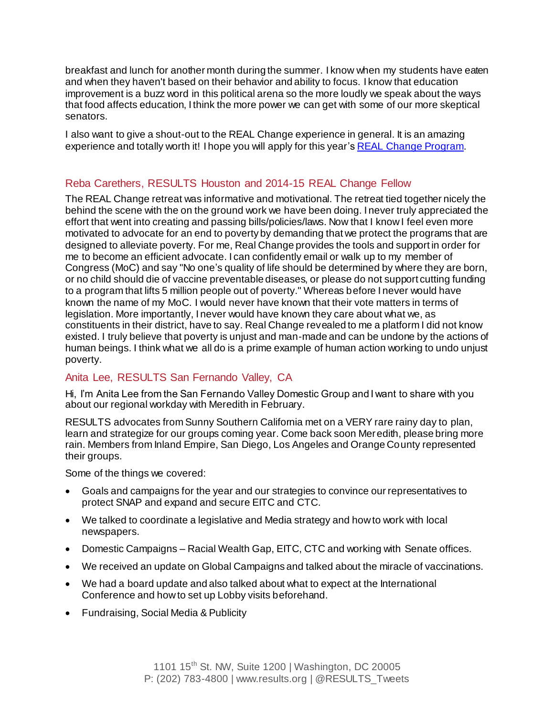breakfast and lunch for another month during the summer. I know when my students have eaten and when they haven't based on their behavior and ability to focus. I know that education improvement is a buzz word in this political arena so the more loudly we speak about the ways that food affects education, I think the more power we can get with some of our more skeptical senators.

I also want to give a shout-out to the REAL Change experience in general. It is an amazing experience and totally worth it! I hope you will apply for this year'[s REAL Change Program](http://www.results.org/realchange).

## Reba Carethers, RESULTS Houston and 2014-15 REAL Change Fellow

The REAL Change retreat was informative and motivational. The retreat tied together nicely the behind the scene with the on the ground work we have been doing. I never truly appreciated the effort that went into creating and passing bills/policies/laws. Now that I know I feel even more motivated to advocate for an end to poverty by demanding that we protect the programs that are designed to alleviate poverty. For me, Real Change provides the tools and support in order for me to become an efficient advocate. I can confidently email or walk up to my member of Congress (MoC) and say "No one's quality of life should be determined by where they are born, or no child should die of vaccine preventable diseases, or please do not support cutting funding to a program that lifts 5 million people out of poverty." Whereas before I never would have known the name of my MoC. I would never have known that their vote matters in terms of legislation. More importantly, I never would have known they care about what we, as constituents in their district, have to say. Real Change revealed to me a platform I did not know existed. I truly believe that poverty is unjust and man-made and can be undone by the actions of human beings. I think what we all do is a prime example of human action working to undo unjust poverty.

### Anita Lee, RESULTS San Fernando Valley, CA

Hi, I'm Anita Lee from the San Fernando Valley Domestic Group and I want to share with you about our regional workday with Meredith in February.

RESULTS advocates from Sunny Southern California met on a VERY rare rainy day to plan, learn and strategize for our groups coming year. Come back soon Meredith, please bring more rain. Members from Inland Empire, San Diego, Los Angeles and Orange County represented their groups.

Some of the things we covered:

- Goals and campaigns for the year and our strategies to convince our representatives to protect SNAP and expand and secure EITC and CTC.
- We talked to coordinate a legislative and Media strategy and how to work with local newspapers.
- Domestic Campaigns Racial Wealth Gap, EITC, CTC and working with Senate offices.
- We received an update on Global Campaigns and talked about the miracle of vaccinations.
- We had a board update and also talked about what to expect at the International Conference and how to set up Lobby visits beforehand.
- Fundraising, Social Media & Publicity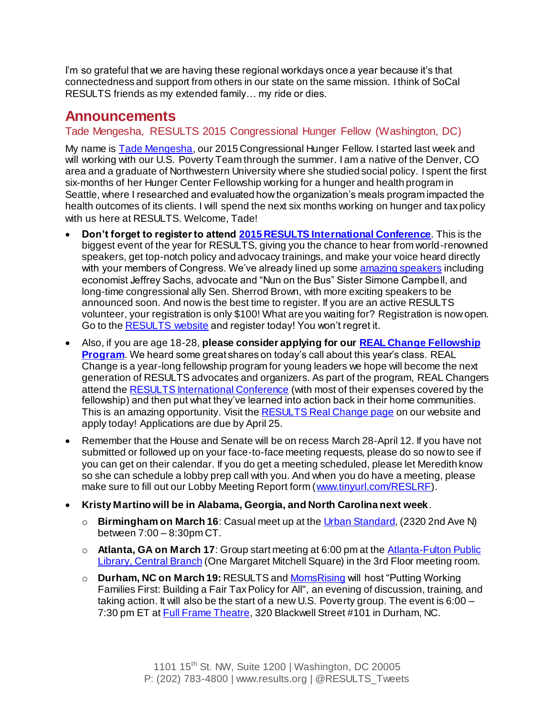I'm so grateful that we are having these regional workdays once a year because it's that connectedness and support from others in our state on the same mission. I think of SoCal RESULTS friends as my extended family… my ride or dies.

## **Announcements**

### Tade Mengesha, RESULTS 2015 Congressional Hunger Fellow (Washington, DC)

My name is **Tade Mengesha**, our 2015 Congressional Hunger Fellow. I started last week and will working with our U.S. Poverty Team through the summer. I am a native of the Denver, CO area and a graduate of Northwestern University where she studied social policy. I spent the first six-months of her Hunger Center Fellowship working for a hunger and health program in Seattle, where I researched and evaluated how the organization's meals program impacted the health outcomes of its clients. I will spend the next six months working on hunger and tax policy with us here at RESULTS. Welcome, Tade!

- **Don't forget to register to atten[d 2015 RESULTS International Conference](http://www.cvent.com/events/results-2015-international-conference/event-summary-6e6e2b145a02421a805078305ffdcb1f.aspx?i=56691988-9e64-4a4d-a50c-becd3e82afa3)**. This is the biggest event of the year for RESULTS, giving you the chance to hear from world-renowned speakers, get top-notch policy and advocacy trainings, and make your voice heard directly with your members of Congress. We've already lined up som[e amazing speakers](http://www.cvent.com/events/results-2015-international-conference/custom-19-6e6e2b145a02421a805078305ffdcb1f.aspx?i=56691988) including economist Jeffrey Sachs, advocate and "Nun on the Bus" Sister Simone Campbell, and long-time congressional ally Sen. Sherrod Brown, with more exciting speakers to be announced soon. And now is the best time to register. If you are an active RESULTS volunteer, your registration is only \$100! What are you waiting for? Registration is now open. Go to the [RESULTS website](http://www.results.org/events/IC_2015/) and register today! You won't regret it.
- Also, if you are age 18-28, **please consider applying for ou[r REAL Change Fellowship](http://www.results.org/realchange)  [Program](http://www.results.org/realchange)**. We heard some great shares on today's call about this year's class. REAL Change is a year-long fellowship program for young leaders we hope will become the next generation of RESULTS advocates and organizers. As part of the program, REAL Changers attend the **RESULTS** International Conference (with most of their expenses covered by the fellowship) and then put what they've learned into action back in their home communities. This is an amazing opportunity. Visit the **RESULTS Real Change page** on our website and apply today! Applications are due by April 25.
- Remember that the House and Senate will be on recess March 28-April 12. If you have not submitted or followed up on your face-to-face meeting requests, please do so now to see if you can get on their calendar. If you do get a meeting scheduled, please let Meredith know so she can schedule a lobby prep call with you. And when you do have a meeting, please make sure to fill out our Lobby Meeting Report form [\(www.tinyurl.com/RESLRF](http://www.tinyurl.com/RESLRF)).
- **Kristy Martino will be in Alabama, Georgia, and North Carolina next week**.
	- o **Birmingham on March 16**: Casual meet up at th[e Urban Standard](http://urbanstandard.net/), (2320 2nd Ave N) between 7:00 – 8:30pm CT.
	- o **Atlanta, GA on March 17**: Group start meeting at 6:00 pm at th[e Atlanta-Fulton Public](http://www.afpls.org/central-library)  [Library, Central Branch](http://www.afpls.org/central-library) (One Margaret Mitchell Square) in the 3rd Floor meeting room.
	- o **Durham, NC on March 19:** RESULTS an[d MomsRising](http://www.momsrising.org/) will host "Putting Working Families First: Building a Fair Tax Policy for All", an evening of discussion, training, and taking action. It will also be the start of a new U.S. Poverty group. The event is 6:00 – 7:30 pm ET at **Full Frame Theatre**, 320 Blackwell Street #101 in Durham, NC.